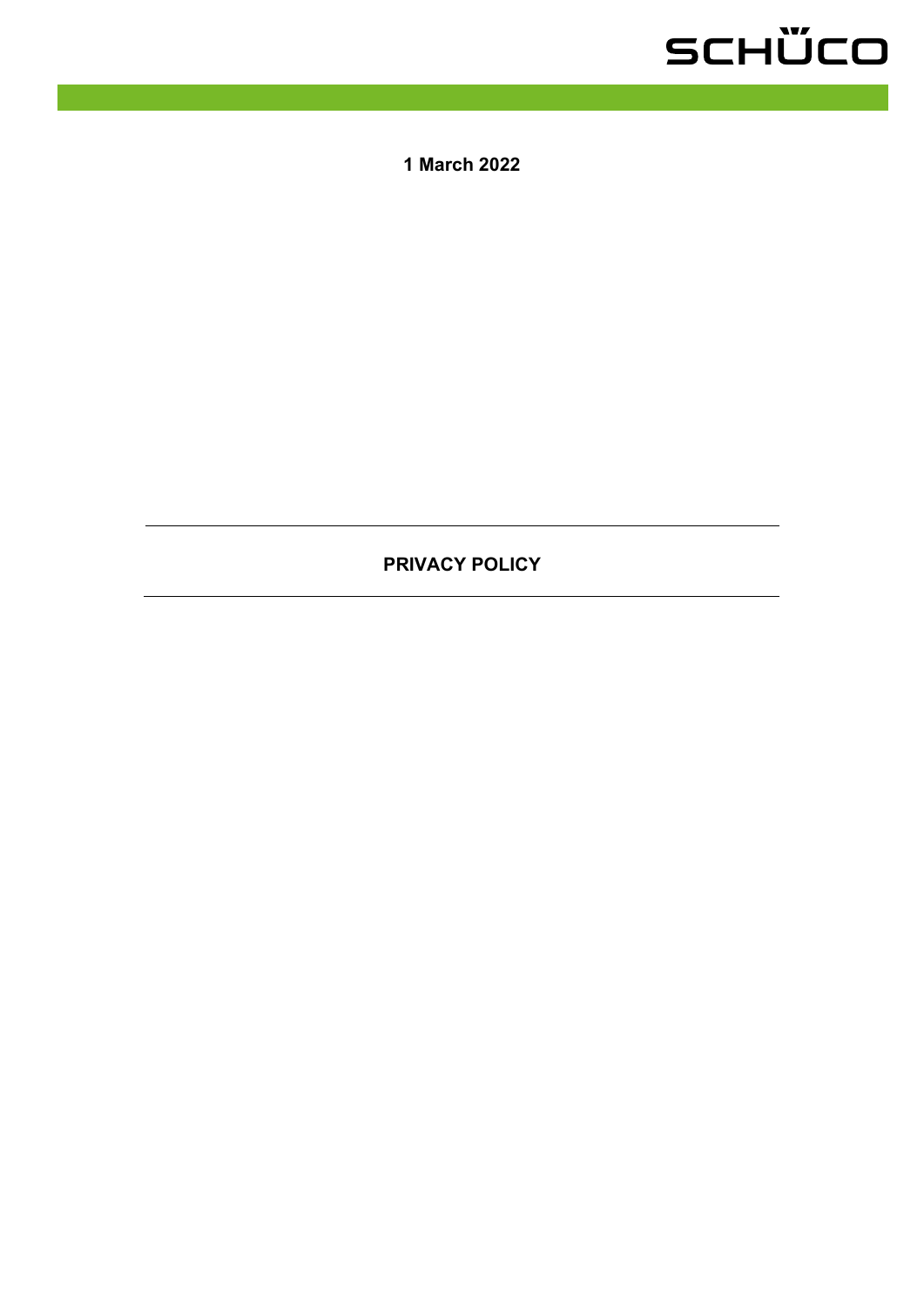### SCHÜCO

**1 March 2022**

### **PRIVACY POLICY**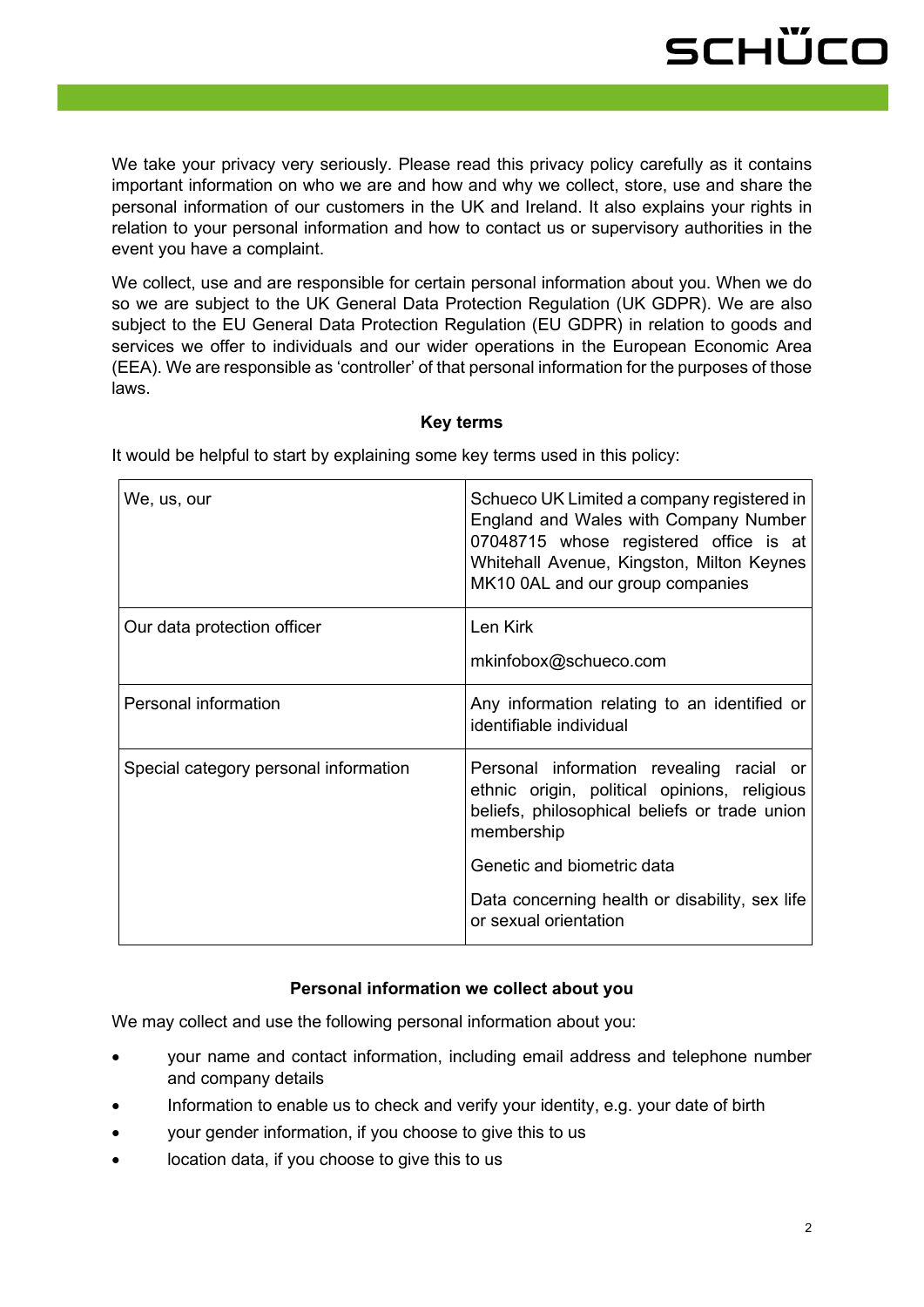We take your privacy very seriously. Please read this privacy policy carefully as it contains important information on who we are and how and why we collect, store, use and share the personal information of our customers in the UK and Ireland. It also explains your rights in relation to your personal information and how to contact us or supervisory authorities in the event you have a complaint.

We collect, use and are responsible for certain personal information about you. When we do so we are subject to the UK General Data Protection Regulation (UK GDPR). We are also subject to the EU General Data Protection Regulation (EU GDPR) in relation to goods and services we offer to individuals and our wider operations in the European Economic Area (EEA). We are responsible as 'controller' of that personal information for the purposes of those laws.

#### **Key terms**

| We, us, our                           | Schueco UK Limited a company registered in<br>England and Wales with Company Number<br>07048715 whose registered office is at<br>Whitehall Avenue, Kingston, Milton Keynes<br>MK10 0AL and our group companies |
|---------------------------------------|----------------------------------------------------------------------------------------------------------------------------------------------------------------------------------------------------------------|
| Our data protection officer           | Len Kirk                                                                                                                                                                                                       |
|                                       | mkinfobox@schueco.com                                                                                                                                                                                          |
| Personal information                  | Any information relating to an identified or<br>identifiable individual                                                                                                                                        |
| Special category personal information | Personal information revealing racial or<br>ethnic origin, political opinions, religious<br>beliefs, philosophical beliefs or trade union<br>membership                                                        |
|                                       | Genetic and biometric data                                                                                                                                                                                     |
|                                       | Data concerning health or disability, sex life<br>or sexual orientation                                                                                                                                        |

It would be helpful to start by explaining some key terms used in this policy:

#### **Personal information we collect about you**

We may collect and use the following personal information about you:

- your name and contact information, including email address and telephone number and company details
- Information to enable us to check and verify your identity, e.g. your date of birth
- your gender information, if you choose to give this to us
- location data, if you choose to give this to us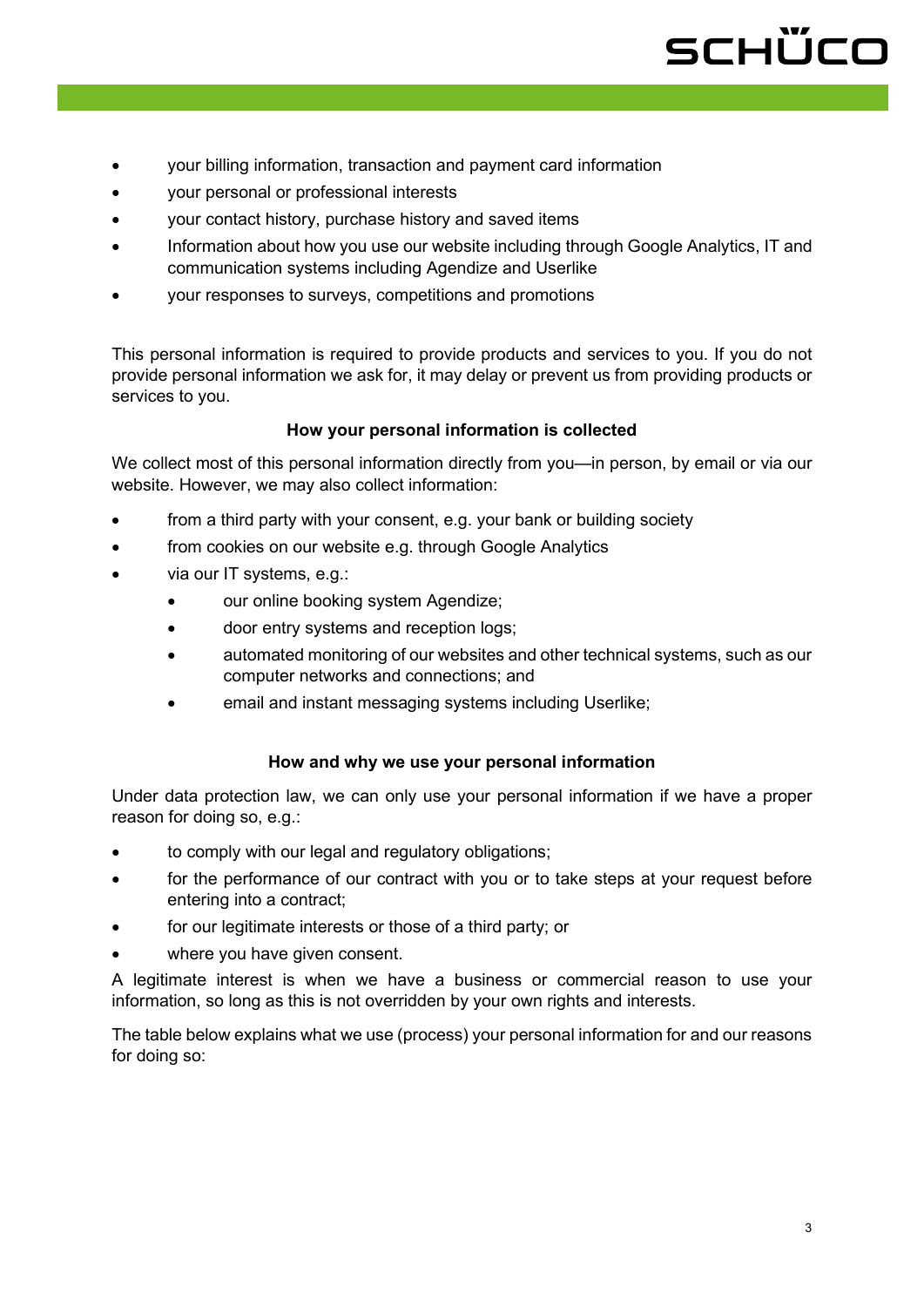# schüco

- your billing information, transaction and payment card information
- your personal or professional interests
- your contact history, purchase history and saved items
- Information about how you use our website including through Google Analytics, IT and communication systems including Agendize and Userlike
- your responses to surveys, competitions and promotions

This personal information is required to provide products and services to you. If you do not provide personal information we ask for, it may delay or prevent us from providing products or services to you.

#### **How your personal information is collected**

We collect most of this personal information directly from you—in person, by email or via our website. However, we may also collect information:

- from a third party with your consent, e.g. your bank or building society
- from cookies on our website e.g. through Google Analytics
- via our IT systems, e.g.:
	- our online booking system Agendize;
	- door entry systems and reception logs;
	- automated monitoring of our websites and other technical systems, such as our computer networks and connections; and
	- email and instant messaging systems including Userlike;

#### **How and why we use your personal information**

Under data protection law, we can only use your personal information if we have a proper reason for doing so, e.g.:

- to comply with our legal and regulatory obligations;
- for the performance of our contract with you or to take steps at your request before entering into a contract;
- for our legitimate interests or those of a third party; or
- where you have given consent.

A legitimate interest is when we have a business or commercial reason to use your information, so long as this is not overridden by your own rights and interests.

The table below explains what we use (process) your personal information for and our reasons for doing so: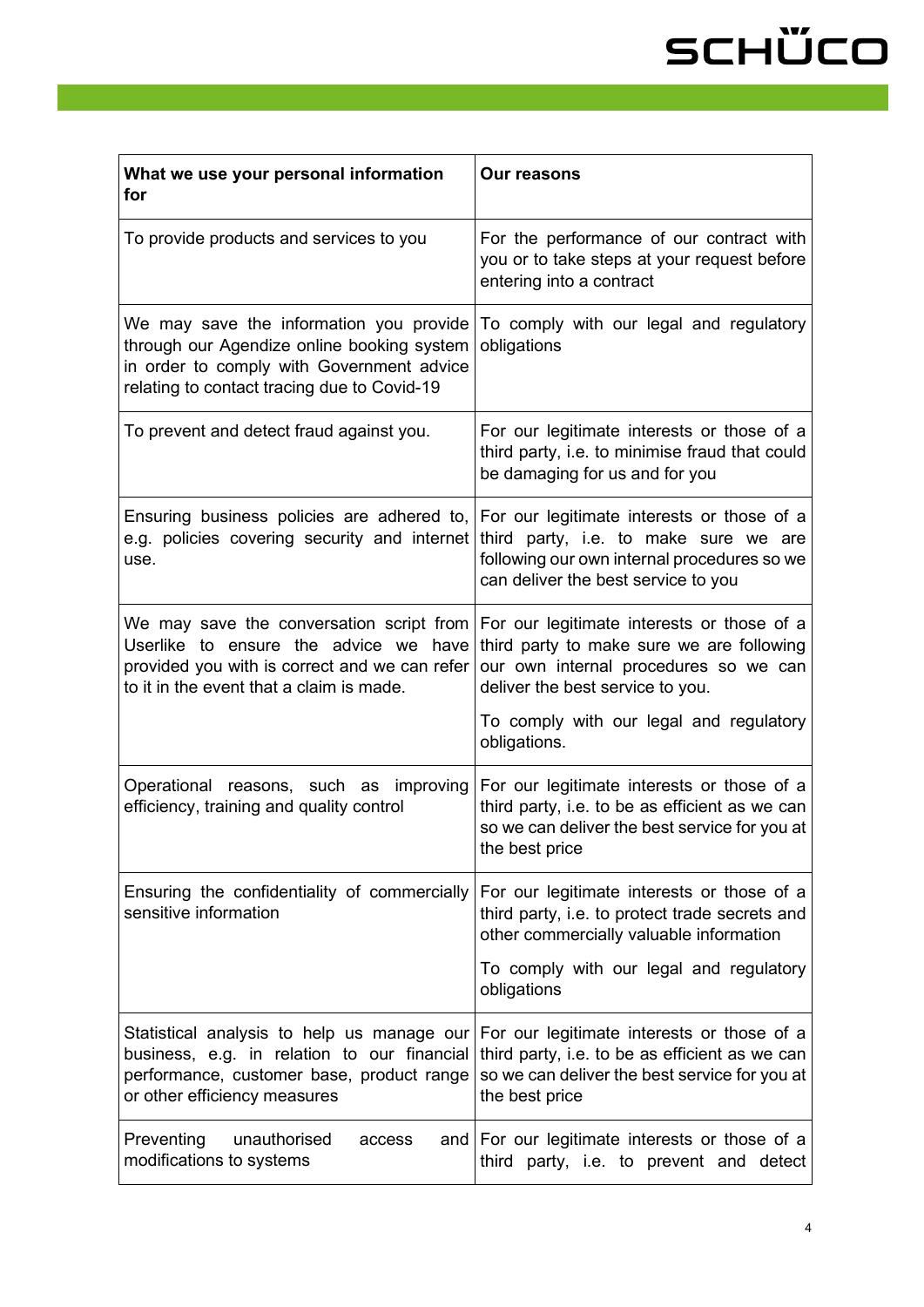# SCHÜCO

| What we use your personal information<br>for                                                                                                                                      | <b>Our reasons</b>                                                                                                                                                   |
|-----------------------------------------------------------------------------------------------------------------------------------------------------------------------------------|----------------------------------------------------------------------------------------------------------------------------------------------------------------------|
| To provide products and services to you                                                                                                                                           | For the performance of our contract with<br>you or to take steps at your request before<br>entering into a contract                                                  |
| We may save the information you provide<br>through our Agendize online booking system<br>in order to comply with Government advice<br>relating to contact tracing due to Covid-19 | To comply with our legal and regulatory<br>obligations                                                                                                               |
| To prevent and detect fraud against you.                                                                                                                                          | For our legitimate interests or those of a<br>third party, i.e. to minimise fraud that could<br>be damaging for us and for you                                       |
| Ensuring business policies are adhered to, $ $ For our legitimate interests or those of a<br>e.g. policies covering security and internet<br>use.                                 | third party, i.e. to make sure we are<br>following our own internal procedures so we<br>can deliver the best service to you                                          |
| We may save the conversation script from<br>Userlike to ensure the advice we have<br>provided you with is correct and we can refer<br>to it in the event that a claim is made.    | For our legitimate interests or those of a<br>third party to make sure we are following<br>our own internal procedures so we can<br>deliver the best service to you. |
|                                                                                                                                                                                   | To comply with our legal and regulatory<br>obligations.                                                                                                              |
| Operational reasons, such as improving<br>efficiency, training and quality control                                                                                                | For our legitimate interests or those of a<br>third party, i.e. to be as efficient as we can<br>so we can deliver the best service for you at<br>the best price      |
| Ensuring the confidentiality of commercially<br>sensitive information                                                                                                             | For our legitimate interests or those of a<br>third party, i.e. to protect trade secrets and<br>other commercially valuable information                              |
|                                                                                                                                                                                   | To comply with our legal and regulatory<br>obligations                                                                                                               |
| Statistical analysis to help us manage our<br>business, e.g. in relation to our financial<br>performance, customer base, product range<br>or other efficiency measures            | For our legitimate interests or those of a<br>third party, i.e. to be as efficient as we can<br>so we can deliver the best service for you at<br>the best price      |
| Preventing<br>unauthorised<br>access<br>modifications to systems                                                                                                                  | and   For our legitimate interests or those of a<br>third party, i.e. to prevent and detect                                                                          |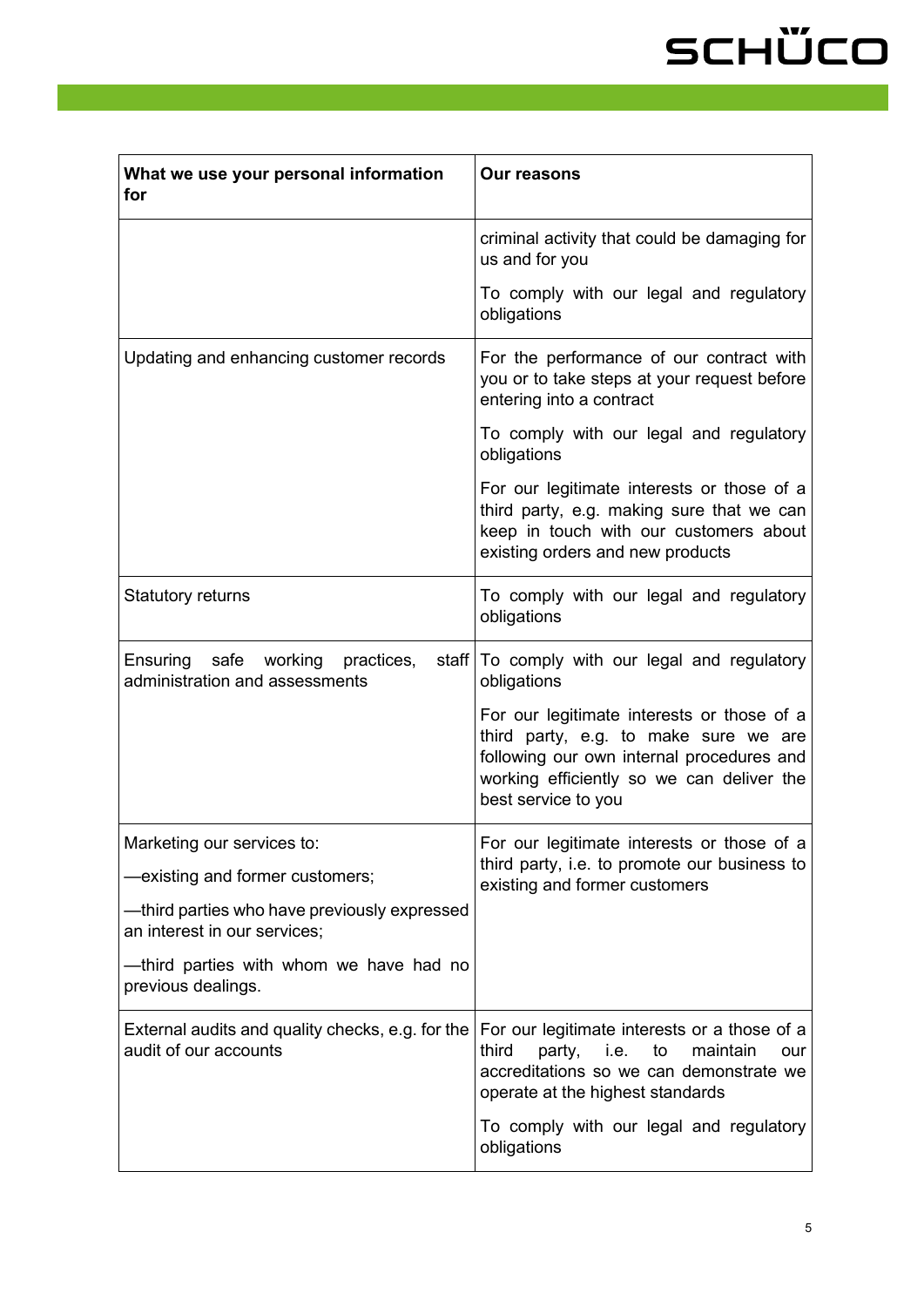# SCHÜCO

| What we use your personal information<br>for                                      | <b>Our reasons</b>                                                                                                                                                                                   |
|-----------------------------------------------------------------------------------|------------------------------------------------------------------------------------------------------------------------------------------------------------------------------------------------------|
|                                                                                   | criminal activity that could be damaging for<br>us and for you                                                                                                                                       |
|                                                                                   | To comply with our legal and regulatory<br>obligations                                                                                                                                               |
| Updating and enhancing customer records                                           | For the performance of our contract with<br>you or to take steps at your request before<br>entering into a contract                                                                                  |
|                                                                                   | To comply with our legal and regulatory<br>obligations                                                                                                                                               |
|                                                                                   | For our legitimate interests or those of a<br>third party, e.g. making sure that we can<br>keep in touch with our customers about<br>existing orders and new products                                |
| <b>Statutory returns</b>                                                          | To comply with our legal and regulatory<br>obligations                                                                                                                                               |
| Ensuring safe<br>working<br>practices,<br>staff<br>administration and assessments | To comply with our legal and regulatory<br>obligations                                                                                                                                               |
|                                                                                   | For our legitimate interests or those of a<br>third party, e.g. to make sure we are<br>following our own internal procedures and<br>working efficiently so we can deliver the<br>best service to you |
| Marketing our services to:                                                        | For our legitimate interests or those of a<br>third party, i.e. to promote our business to<br>existing and former customers                                                                          |
| existing and former customers;                                                    |                                                                                                                                                                                                      |
| —third parties who have previously expressed<br>an interest in our services;      |                                                                                                                                                                                                      |
| —third parties with whom we have had no<br>previous dealings.                     |                                                                                                                                                                                                      |
| External audits and quality checks, e.g. for the<br>audit of our accounts         | For our legitimate interests or a those of a<br>third<br>party,<br>i.e.<br>to<br>maintain<br>our<br>accreditations so we can demonstrate we<br>operate at the highest standards                      |
|                                                                                   | To comply with our legal and regulatory<br>obligations                                                                                                                                               |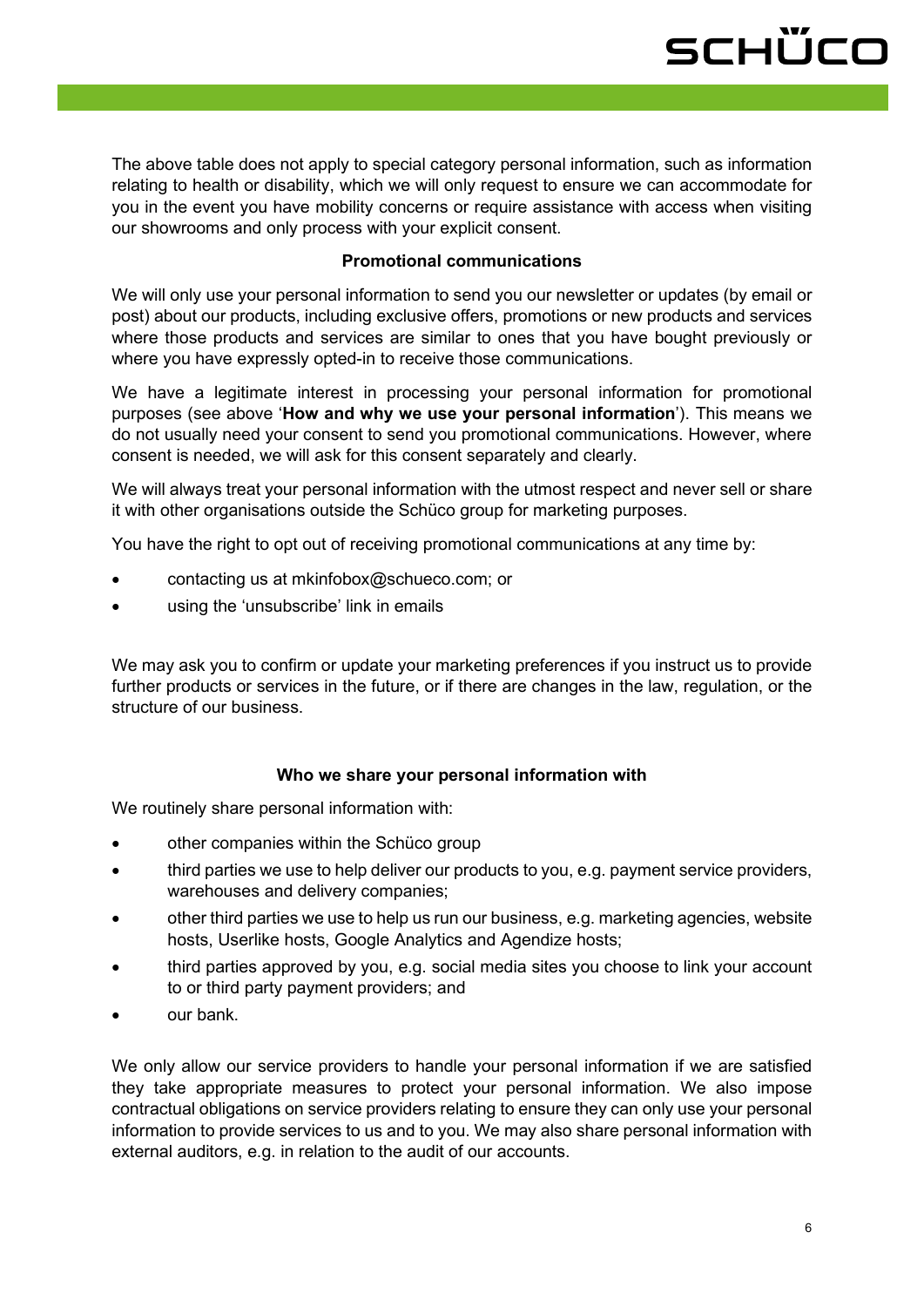### schüco

The above table does not apply to special category personal information, such as information relating to health or disability, which we will only request to ensure we can accommodate for you in the event you have mobility concerns or require assistance with access when visiting our showrooms and only process with your explicit consent.

#### **Promotional communications**

We will only use your personal information to send you our newsletter or updates (by email or post) about our products, including exclusive offers, promotions or new products and services where those products and services are similar to ones that you have bought previously or where you have expressly opted-in to receive those communications.

We have a legitimate interest in processing your personal information for promotional purposes (see above '**How and why we use your personal information**'). This means we do not usually need your consent to send you promotional communications. However, where consent is needed, we will ask for this consent separately and clearly.

We will always treat your personal information with the utmost respect and never sell or share it with other organisations outside the Schüco group for marketing purposes.

You have the right to opt out of receiving promotional communications at any time by:

- contacting us at [mkinfobox@schueco.com;](mailto:mkinfobox@schueco.com) or
- using the 'unsubscribe' link in emails

We may ask you to confirm or update your marketing preferences if you instruct us to provide further products or services in the future, or if there are changes in the law, regulation, or the structure of our business.

#### **Who we share your personal information with**

We routinely share personal information with:

- other companies within the Schüco group
- third parties we use to help deliver our products to you, e.g. payment service providers, warehouses and delivery companies;
- other third parties we use to help us run our business, e.g. marketing agencies, website hosts, Userlike hosts, Google Analytics and Agendize hosts;
- third parties approved by you, e.g. social media sites you choose to link your account to or third party payment providers; and
- our bank.

We only allow our service providers to handle your personal information if we are satisfied they take appropriate measures to protect your personal information. We also impose contractual obligations on service providers relating to ensure they can only use your personal information to provide services to us and to you. We may also share personal information with external auditors, e.g. in relation to the audit of our accounts.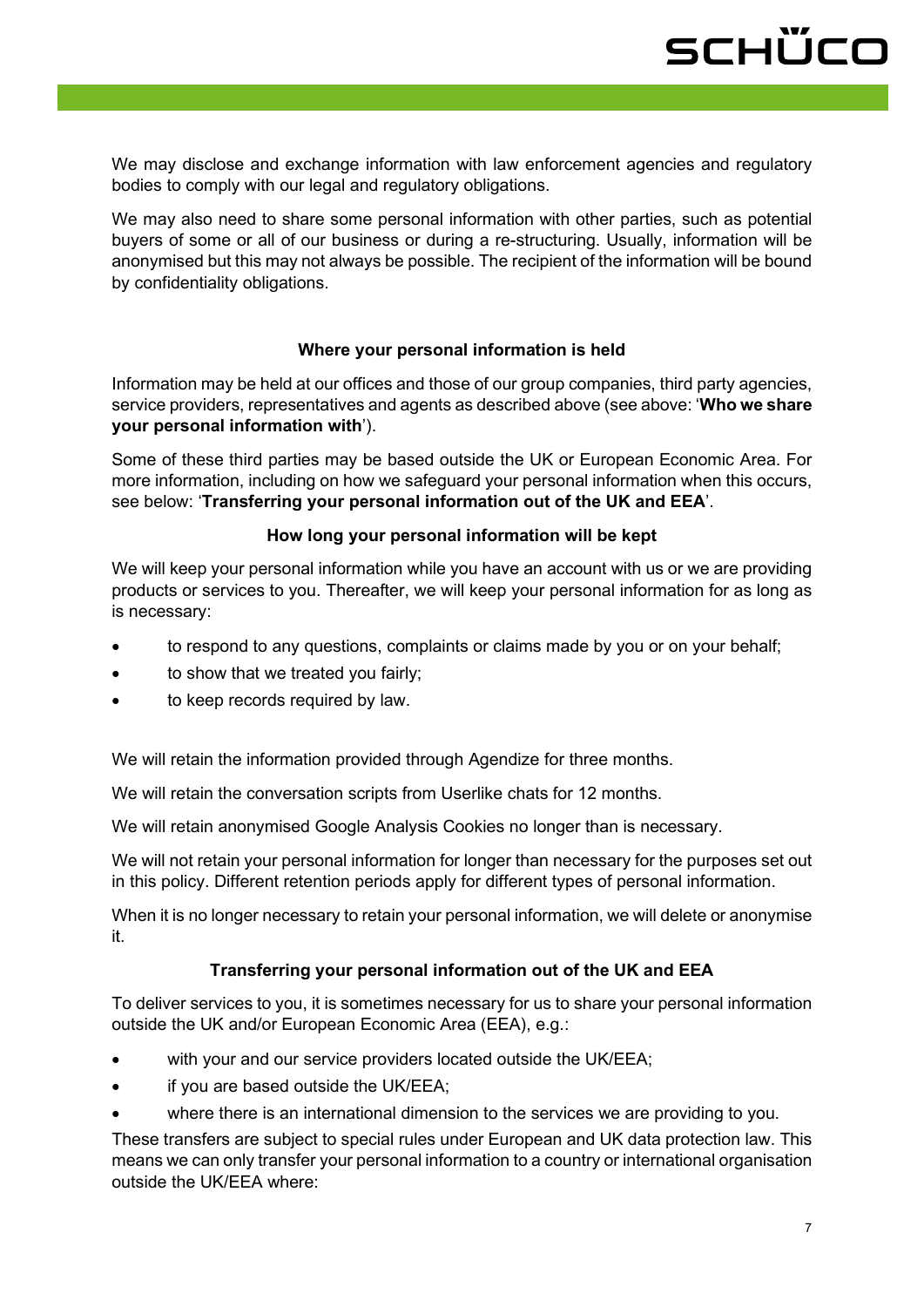We may disclose and exchange information with law enforcement agencies and regulatory bodies to comply with our legal and regulatory obligations.

We may also need to share some personal information with other parties, such as potential buyers of some or all of our business or during a re-structuring. Usually, information will be anonymised but this may not always be possible. The recipient of the information will be bound by confidentiality obligations.

#### **Where your personal information is held**

Information may be held at our offices and those of our group companies, third party agencies, service providers, representatives and agents as described above (see above: '**Who we share your personal information with**').

Some of these third parties may be based outside the UK or European Economic Area. For more information, including on how we safeguard your personal information when this occurs, see below: '**Transferring your personal information out of the UK and EEA**'.

#### **How long your personal information will be kept**

We will keep your personal information while you have an account with us or we are providing products or services to you. Thereafter, we will keep your personal information for as long as is necessary:

- to respond to any questions, complaints or claims made by you or on your behalf;
- to show that we treated you fairly;
- to keep records required by law.

We will retain the information provided through Agendize for three months.

We will retain the conversation scripts from Userlike chats for 12 months.

We will retain anonymised Google Analysis Cookies no longer than is necessary.

We will not retain your personal information for longer than necessary for the purposes set out in this policy. Different retention periods apply for different types of personal information.

When it is no longer necessary to retain your personal information, we will delete or anonymise it.

#### **Transferring your personal information out of the UK and EEA**

To deliver services to you, it is sometimes necessary for us to share your personal information outside the UK and/or European Economic Area (EEA), e.g.:

- with your and our service providers located outside the UK/EEA;
- if you are based outside the UK/EEA;
- where there is an international dimension to the services we are providing to you.

These transfers are subject to special rules under European and UK data protection law. This means we can only transfer your personal information to a country or international organisation outside the UK/EEA where: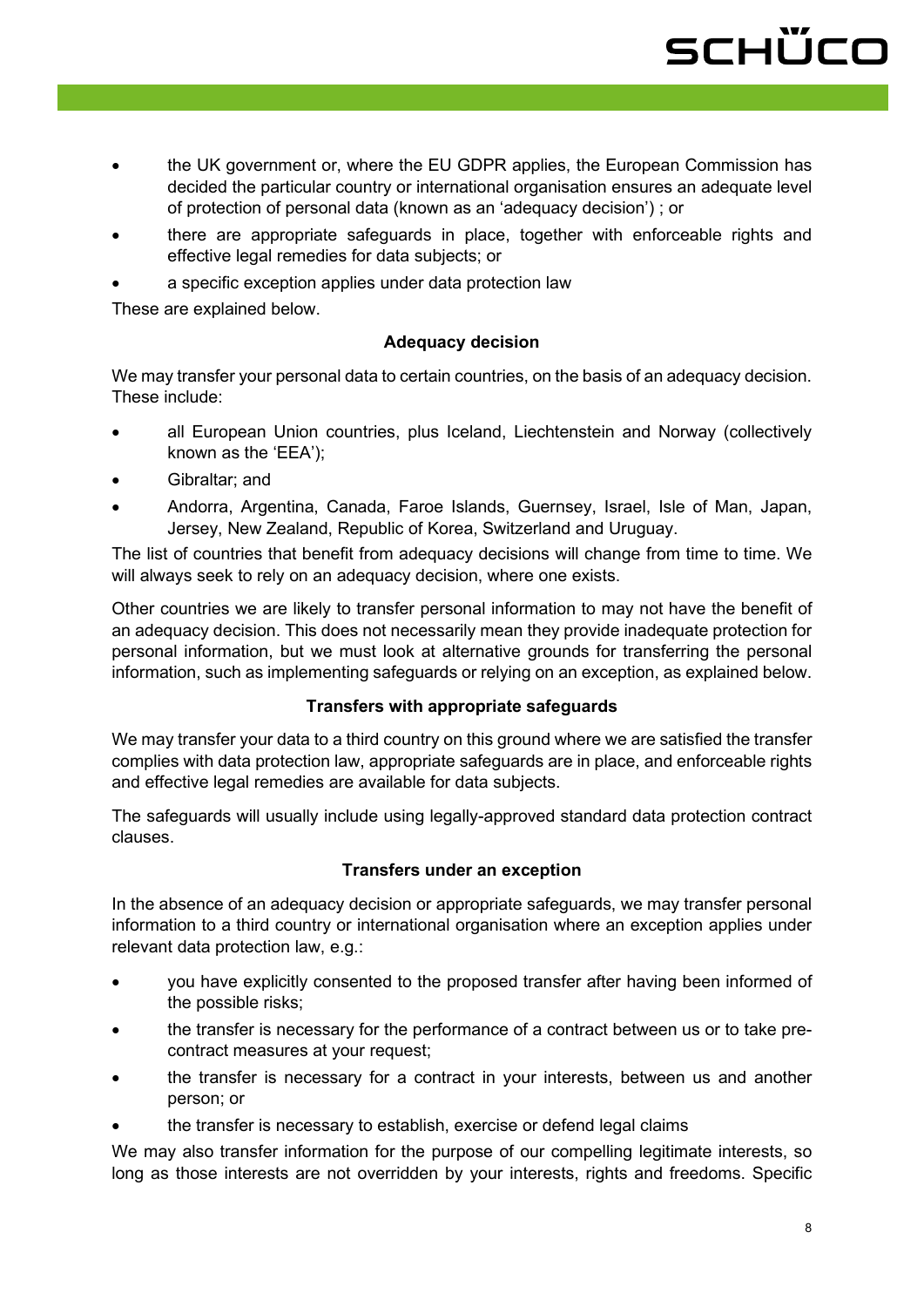- the UK government or, where the EU GDPR applies, the European Commission has decided the particular country or international organisation ensures an adequate level of protection of personal data (known as an 'adequacy decision') ; or
- there are appropriate safeguards in place, together with enforceable rights and effective legal remedies for data subjects; or
- a specific exception applies under data protection law

These are explained below.

#### **Adequacy decision**

We may transfer your personal data to certain countries, on the basis of an adequacy decision. These include:

- all European Union countries, plus Iceland, Liechtenstein and Norway (collectively known as the 'EEA');
- Gibraltar; and
- Andorra, Argentina, Canada, Faroe Islands, Guernsey, Israel, Isle of Man, Japan, Jersey, New Zealand, Republic of Korea, Switzerland and Uruguay.

The list of countries that benefit from adequacy decisions will change from time to time. We will always seek to rely on an adequacy decision, where one exists.

Other countries we are likely to transfer personal information to may not have the benefit of an adequacy decision. This does not necessarily mean they provide inadequate protection for personal information, but we must look at alternative grounds for transferring the personal information, such as implementing safeguards or relying on an exception, as explained below.

#### **Transfers with appropriate safeguards**

We may transfer your data to a third country on this ground where we are satisfied the transfer complies with data protection law, appropriate safeguards are in place, and enforceable rights and effective legal remedies are available for data subjects.

The safeguards will usually include using legally-approved standard data protection contract clauses.

#### **Transfers under an exception**

In the absence of an adequacy decision or appropriate safeguards, we may transfer personal information to a third country or international organisation where an exception applies under relevant data protection law, e.g.:

- you have explicitly consented to the proposed transfer after having been informed of the possible risks;
- the transfer is necessary for the performance of a contract between us or to take precontract measures at your request;
- the transfer is necessary for a contract in your interests, between us and another person; or
- the transfer is necessary to establish, exercise or defend legal claims

We may also transfer information for the purpose of our compelling legitimate interests, so long as those interests are not overridden by your interests, rights and freedoms. Specific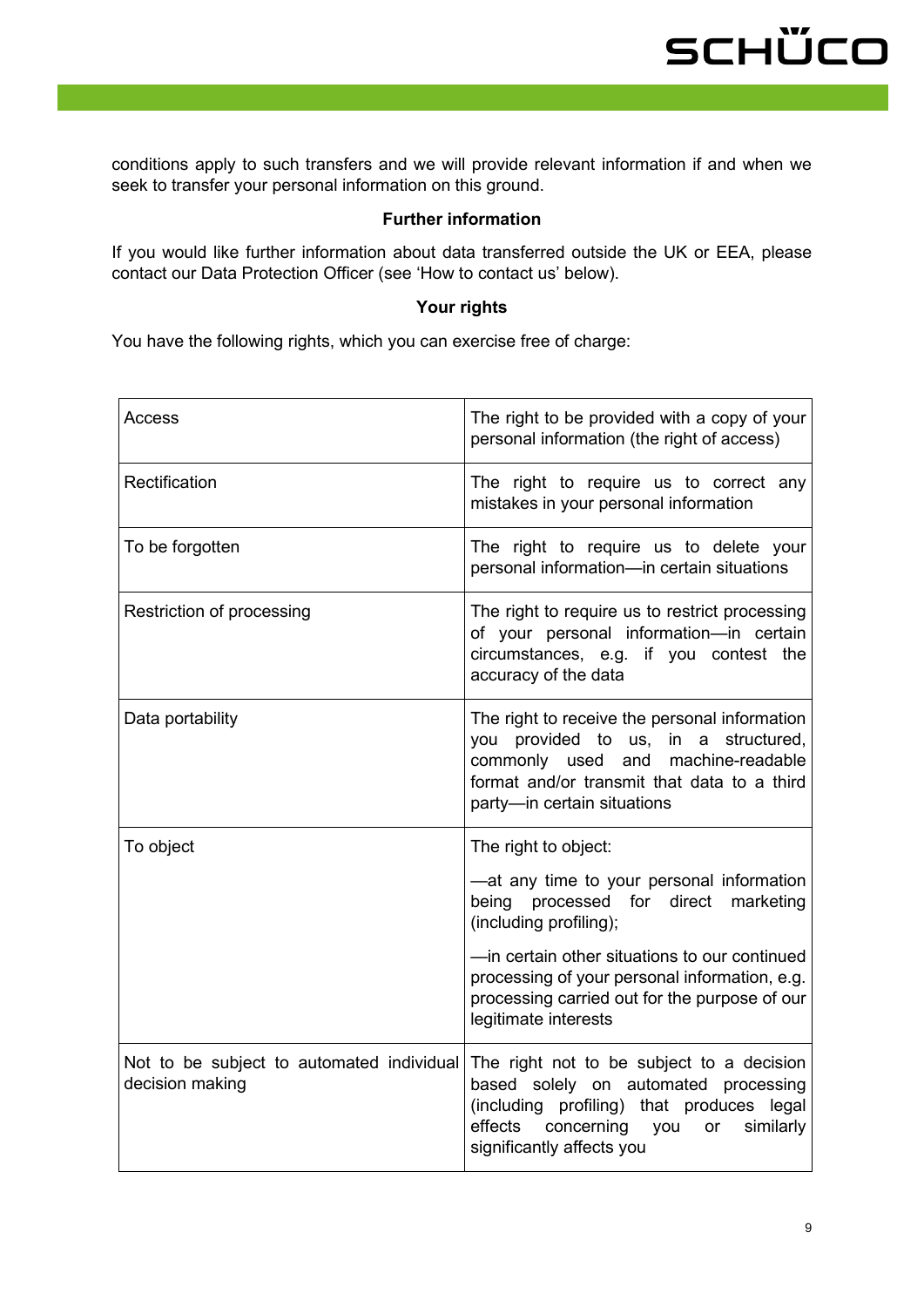conditions apply to such transfers and we will provide relevant information if and when we seek to transfer your personal information on this ground.

#### **Further information**

If you would like further information about data transferred outside the UK or EEA, please contact our Data Protection Officer (see 'How to contact us' below).

#### **Your rights**

You have the following rights, which you can exercise free of charge:

| Access                                                       | The right to be provided with a copy of your<br>personal information (the right of access)                                                                                                                                                                                                                        |
|--------------------------------------------------------------|-------------------------------------------------------------------------------------------------------------------------------------------------------------------------------------------------------------------------------------------------------------------------------------------------------------------|
| Rectification                                                | The right to require us to correct any<br>mistakes in your personal information                                                                                                                                                                                                                                   |
| To be forgotten                                              | The right to require us to delete your<br>personal information-in certain situations                                                                                                                                                                                                                              |
| Restriction of processing                                    | The right to require us to restrict processing<br>of your personal information-in certain<br>circumstances, e.g. if you contest the<br>accuracy of the data                                                                                                                                                       |
| Data portability                                             | The right to receive the personal information<br>you provided to us, in a structured,<br>commonly used and machine-readable<br>format and/or transmit that data to a third<br>party-in certain situations                                                                                                         |
| To object                                                    | The right to object:<br>-at any time to your personal information<br>being processed for direct<br>marketing<br>(including profiling);<br>-in certain other situations to our continued<br>processing of your personal information, e.g.<br>processing carried out for the purpose of our<br>legitimate interests |
| Not to be subject to automated individual<br>decision making | The right not to be subject to a decision<br>based solely on automated processing<br>(including profiling) that produces legal<br>effects<br>concerning you<br>similarly<br>or<br>significantly affects you                                                                                                       |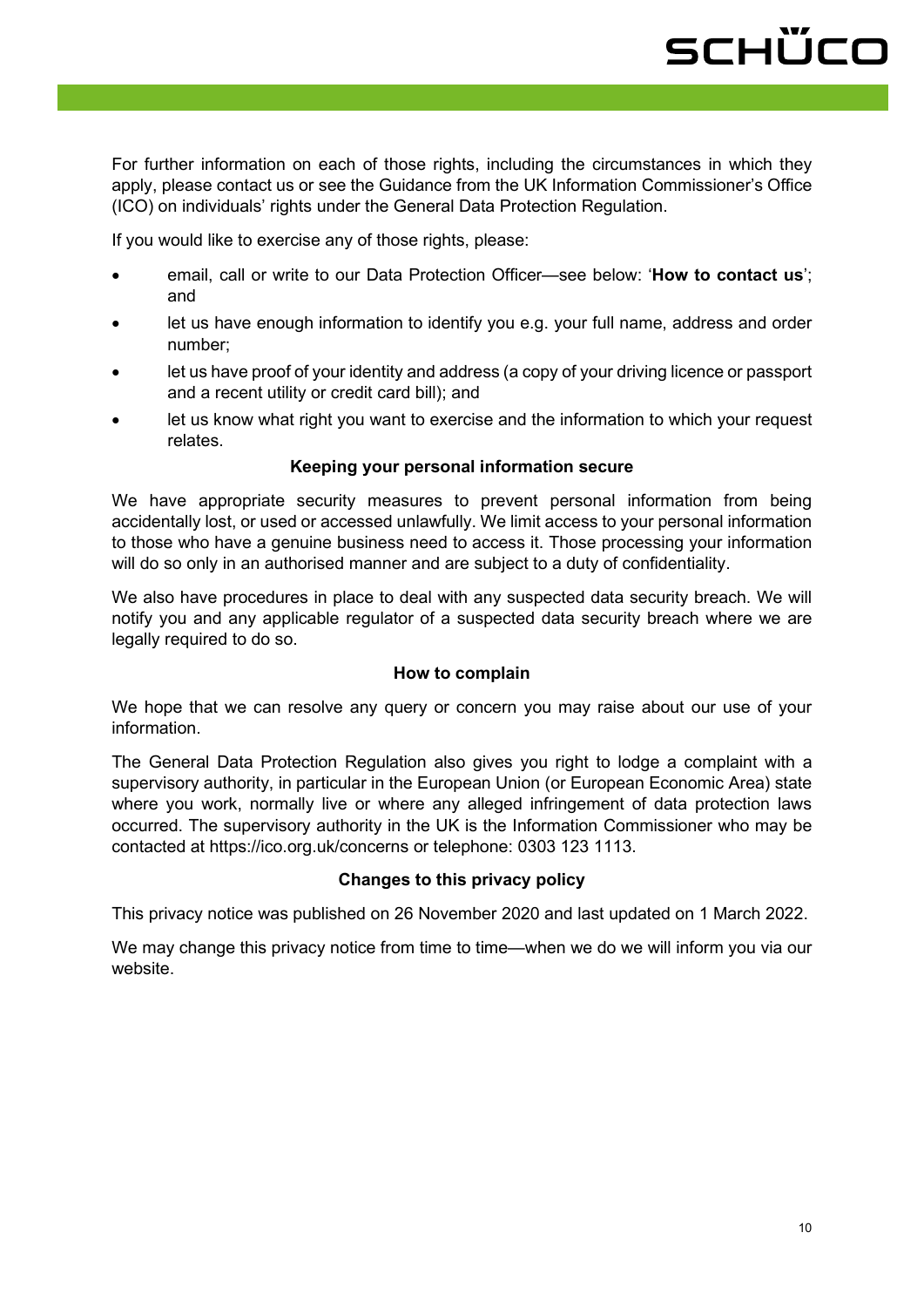For further information on each of those rights, including the circumstances in which they apply, please contact us or see the Guidance from the UK Information Commissioner's Office (ICO) on individuals' rights under the General Data Protection Regulation.

If you would like to exercise any of those rights, please:

- email, call or write to our Data Protection Officer—see below: '**How to contact us**'; and
- let us have enough information to identify you e.g. your full name, address and order number;
- let us have proof of your identity and address (a copy of your driving licence or passport and a recent utility or credit card bill); and
- let us know what right you want to exercise and the information to which your request relates.

#### **Keeping your personal information secure**

We have appropriate security measures to prevent personal information from being accidentally lost, or used or accessed unlawfully. We limit access to your personal information to those who have a genuine business need to access it. Those processing your information will do so only in an authorised manner and are subject to a duty of confidentiality.

We also have procedures in place to deal with any suspected data security breach. We will notify you and any applicable regulator of a suspected data security breach where we are legally required to do so.

#### **How to complain**

We hope that we can resolve any query or concern you may raise about our use of your information.

The General Data Protection Regulation also gives you right to lodge a complaint with a supervisory authority, in particular in the European Union (or European Economic Area) state where you work, normally live or where any alleged infringement of data protection laws occurred. The supervisory authority in the UK is the Information Commissioner who may be contacted at https://ico.org.uk/concerns or telephone: 0303 123 1113.

#### **Changes to this privacy policy**

This privacy notice was published on 26 November 2020 and last updated on 1 March 2022.

We may change this privacy notice from time to time—when we do we will inform you via our website.